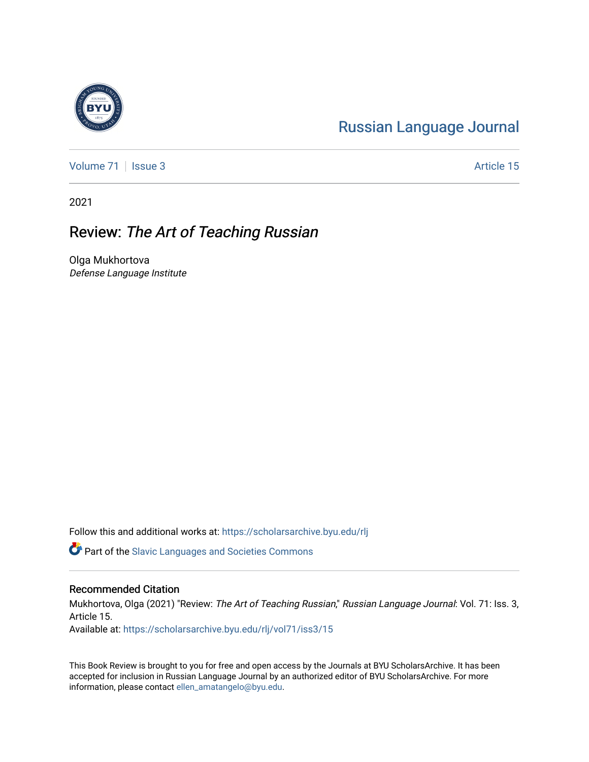## [Russian Language Journal](https://scholarsarchive.byu.edu/rlj)

[Volume 71](https://scholarsarchive.byu.edu/rlj/vol71) | [Issue 3](https://scholarsarchive.byu.edu/rlj/vol71/iss3) Article 15

2021

## Review: The Art of Teaching Russian

Olga Mukhortova Defense Language Institute

Follow this and additional works at: [https://scholarsarchive.byu.edu/rlj](https://scholarsarchive.byu.edu/rlj?utm_source=scholarsarchive.byu.edu%2Frlj%2Fvol71%2Fiss3%2F15&utm_medium=PDF&utm_campaign=PDFCoverPages)

**C** Part of the Slavic Languages and Societies Commons

## Recommended Citation

Mukhortova, Olga (2021) "Review: The Art of Teaching Russian," Russian Language Journal: Vol. 71: Iss. 3, Article 15.

Available at: [https://scholarsarchive.byu.edu/rlj/vol71/iss3/15](https://scholarsarchive.byu.edu/rlj/vol71/iss3/15?utm_source=scholarsarchive.byu.edu%2Frlj%2Fvol71%2Fiss3%2F15&utm_medium=PDF&utm_campaign=PDFCoverPages)

This Book Review is brought to you for free and open access by the Journals at BYU ScholarsArchive. It has been accepted for inclusion in Russian Language Journal by an authorized editor of BYU ScholarsArchive. For more information, please contact [ellen\\_amatangelo@byu.edu.](mailto:ellen_amatangelo@byu.edu)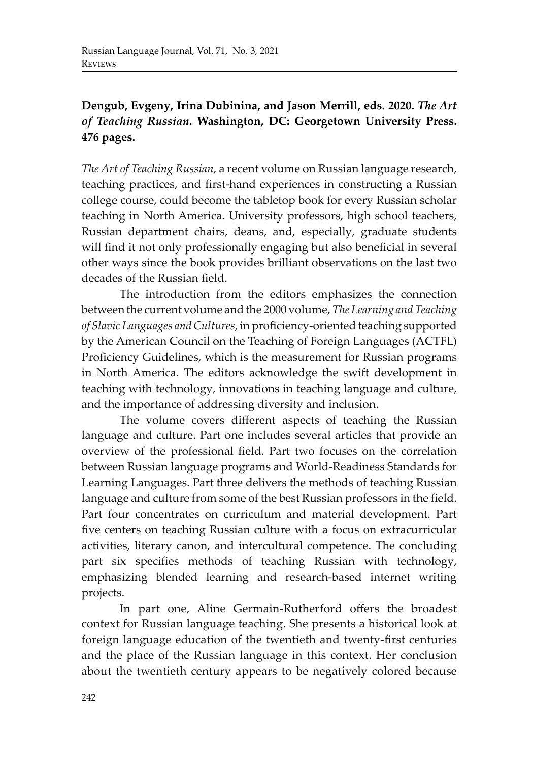## **Dengub, Evgeny, Irina Dubinina, and Jason Merrill, eds. 2020.** *The Art of Teaching Russian***. Washington, DC: Georgetown University Press. 476 pages.**

*The Art of Teaching Russian*, a recent volume on Russian language research, teaching practices, and first-hand experiences in constructing a Russian college course, could become the tabletop book for every Russian scholar teaching in North America. University professors, high school teachers, Russian department chairs, deans, and, especially, graduate students will find it not only professionally engaging but also beneficial in several other ways since the book provides brilliant observations on the last two decades of the Russian field.

The introduction from the editors emphasizes the connection between the current volume and the 2000 volume,*The Learning and Teaching of Slavic Languages and Cultures*, in proficiency-oriented teaching supported by the American Council on the Teaching of Foreign Languages (ACTFL) Proficiency Guidelines, which is the measurement for Russian programs in North America. The editors acknowledge the swift development in teaching with technology, innovations in teaching language and culture, and the importance of addressing diversity and inclusion.

The volume covers different aspects of teaching the Russian language and culture. Part one includes several articles that provide an overview of the professional field. Part two focuses on the correlation between Russian language programs and World-Readiness Standards for Learning Languages. Part three delivers the methods of teaching Russian language and culture from some of the best Russian professors in the field. Part four concentrates on curriculum and material development. Part five centers on teaching Russian culture with a focus on extracurricular activities, literary canon, and intercultural competence. The concluding part six specifies methods of teaching Russian with technology, emphasizing blended learning and research-based internet writing projects.

In part one, Aline Germain-Rutherford offers the broadest context for Russian language teaching. She presents a historical look at foreign language education of the twentieth and twenty-first centuries and the place of the Russian language in this context. Her conclusion about the twentieth century appears to be negatively colored because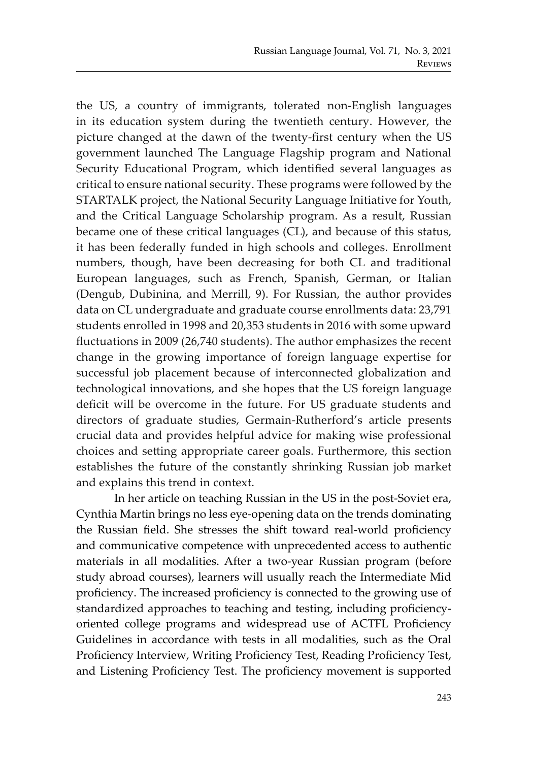the US, a country of immigrants, tolerated non-English languages in its education system during the twentieth century. However, the picture changed at the dawn of the twenty-first century when the US government launched The Language Flagship program and National Security Educational Program, which identified several languages as critical to ensure national security. These programs were followed by the STARTALK project, the National Security Language Initiative for Youth, and the Critical Language Scholarship program. As a result, Russian became one of these critical languages (CL), and because of this status, it has been federally funded in high schools and colleges. Enrollment numbers, though, have been decreasing for both CL and traditional European languages, such as French, Spanish, German, or Italian (Dengub, Dubinina, and Merrill, 9). For Russian, the author provides data on CL undergraduate and graduate course enrollments data: 23,791 students enrolled in 1998 and 20,353 students in 2016 with some upward fluctuations in 2009 (26,740 students). The author emphasizes the recent change in the growing importance of foreign language expertise for successful job placement because of interconnected globalization and technological innovations, and she hopes that the US foreign language deficit will be overcome in the future. For US graduate students and directors of graduate studies, Germain-Rutherford's article presents crucial data and provides helpful advice for making wise professional choices and setting appropriate career goals. Furthermore, this section establishes the future of the constantly shrinking Russian job market and explains this trend in context.

In her article on teaching Russian in the US in the post-Soviet era, Cynthia Martin brings no less eye-opening data on the trends dominating the Russian field. She stresses the shift toward real-world proficiency and communicative competence with unprecedented access to authentic materials in all modalities. After a two-year Russian program (before study abroad courses), learners will usually reach the Intermediate Mid proficiency. The increased proficiency is connected to the growing use of standardized approaches to teaching and testing, including proficiencyoriented college programs and widespread use of ACTFL Proficiency Guidelines in accordance with tests in all modalities, such as the Oral Proficiency Interview, Writing Proficiency Test, Reading Proficiency Test, and Listening Proficiency Test. The proficiency movement is supported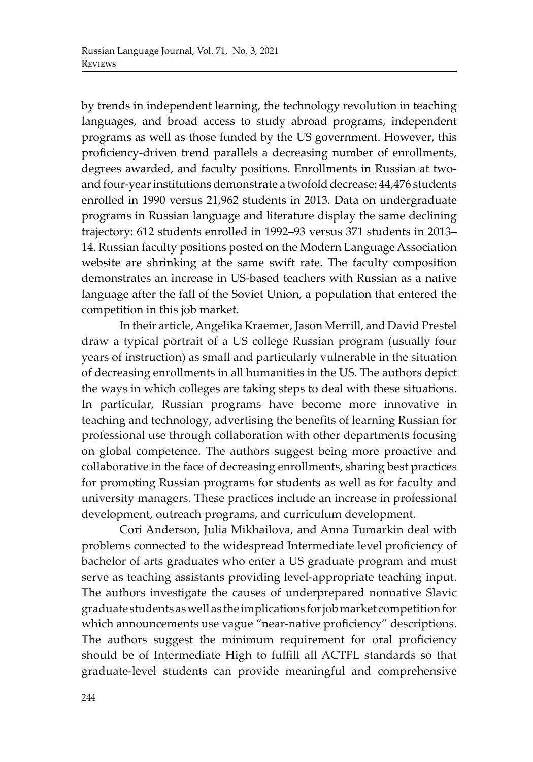by trends in independent learning, the technology revolution in teaching languages, and broad access to study abroad programs, independent programs as well as those funded by the US government. However, this proficiency-driven trend parallels a decreasing number of enrollments, degrees awarded, and faculty positions. Enrollments in Russian at twoand four-year institutions demonstrate a twofold decrease: 44,476 students enrolled in 1990 versus 21,962 students in 2013. Data on undergraduate programs in Russian language and literature display the same declining trajectory: 612 students enrolled in 1992–93 versus 371 students in 2013– 14. Russian faculty positions posted on the Modern Language Association website are shrinking at the same swift rate. The faculty composition demonstrates an increase in US-based teachers with Russian as a native language after the fall of the Soviet Union, a population that entered the competition in this job market.

In their article, Angelika Kraemer, Jason Merrill, and David Prestel draw a typical portrait of a US college Russian program (usually four years of instruction) as small and particularly vulnerable in the situation of decreasing enrollments in all humanities in the US. The authors depict the ways in which colleges are taking steps to deal with these situations. In particular, Russian programs have become more innovative in teaching and technology, advertising the benefits of learning Russian for professional use through collaboration with other departments focusing on global competence. The authors suggest being more proactive and collaborative in the face of decreasing enrollments, sharing best practices for promoting Russian programs for students as well as for faculty and university managers. These practices include an increase in professional development, outreach programs, and curriculum development.

Cori Anderson, Julia Mikhailova, and Anna Tumarkin deal with problems connected to the widespread Intermediate level proficiency of bachelor of arts graduates who enter a US graduate program and must serve as teaching assistants providing level-appropriate teaching input. The authors investigate the causes of underprepared nonnative Slavic graduate students as well as the implications for job market competition for which announcements use vague "near-native proficiency" descriptions. The authors suggest the minimum requirement for oral proficiency should be of Intermediate High to fulfill all ACTFL standards so that graduate-level students can provide meaningful and comprehensive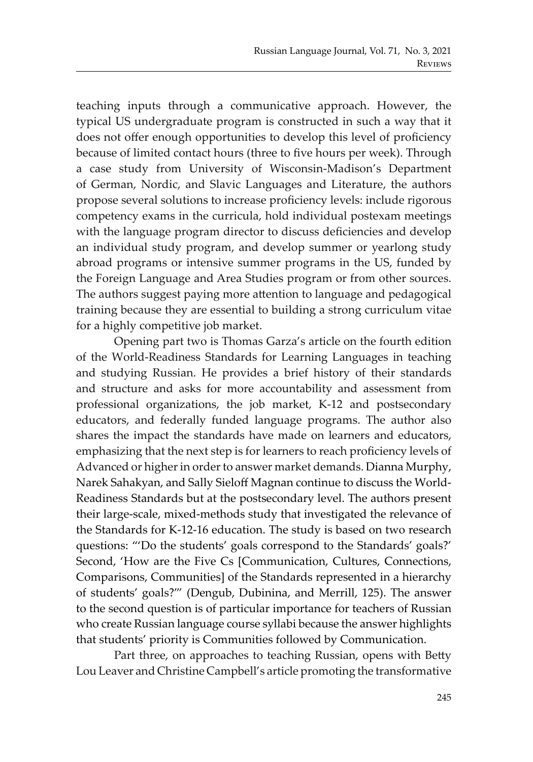teaching inputs through a communicative approach. However, the typical US undergraduate program is constructed in such a way that it does not offer enough opportunities to develop this level of proficiency because of limited contact hours (three to five hours per week). Through a case study from University of Wisconsin-Madison's Department of German, Nordic, and Slavic Languages and Literature, the authors propose several solutions to increase proficiency levels: include rigorous competency exams in the curricula, hold individual postexam meetings with the language program director to discuss deficiencies and develop an individual study program, and develop summer or yearlong study abroad programs or intensive summer programs in the US, funded by the Foreign Language and Area Studies program or from other sources. The authors suggest paying more attention to language and pedagogical training because they are essential to building a strong curriculum vitae for a highly competitive job market.

Opening part two is Thomas Garza's article on the fourth edition of the World-Readiness Standards for Learning Languages in teaching and studying Russian. He provides a brief history of their standards and structure and asks for more accountability and assessment from professional organizations, the job market, K-12 and postsecondary educators, and federally funded language programs. The author also shares the impact the standards have made on learners and educators, emphasizing that the next step is for learners to reach proficiency levels of Advanced or higher in order to answer market demands. Dianna Murphy, Narek Sahakyan, and Sally Sieloff Magnan continue to discuss the World-Readiness Standards but at the postsecondary level. The authors present their large-scale, mixed-methods study that investigated the relevance of the Standards for K-12-16 education. The study is based on two research questions: "'Do the students' goals correspond to the Standards' goals?' Second, 'How are the Five Cs [Communication, Cultures, Connections, Comparisons, Communities] of the Standards represented in a hierarchy of students' goals?'" (Dengub, Dubinina, and Merrill, 125). The answer to the second question is of particular importance for teachers of Russian who create Russian language course syllabi because the answer highlights that students' priority is Communities followed by Communication.

Part three, on approaches to teaching Russian, opens with Betty Lou Leaver and Christine Campbell's article promoting the transformative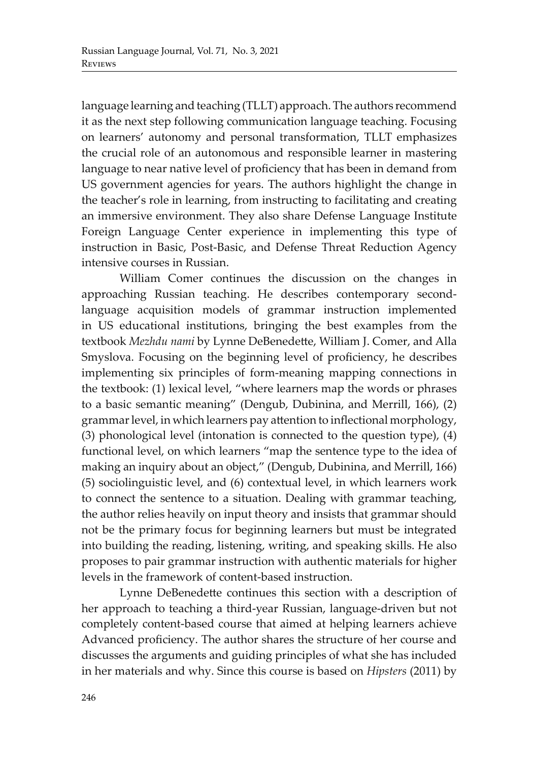language learning and teaching (TLLT) approach. The authors recommend it as the next step following communication language teaching. Focusing on learners' autonomy and personal transformation, TLLT emphasizes the crucial role of an autonomous and responsible learner in mastering language to near native level of proficiency that has been in demand from US government agencies for years. The authors highlight the change in the teacher's role in learning, from instructing to facilitating and creating an immersive environment. They also share Defense Language Institute Foreign Language Center experience in implementing this type of instruction in Basic, Post-Basic, and Defense Threat Reduction Agency intensive courses in Russian.

William Comer continues the discussion on the changes in approaching Russian teaching. He describes contemporary secondlanguage acquisition models of grammar instruction implemented in US educational institutions, bringing the best examples from the textbook *Mezhdu nami* by Lynne DeBenedette, William J. Comer, and Alla Smyslova. Focusing on the beginning level of proficiency, he describes implementing six principles of form-meaning mapping connections in the textbook: (1) lexical level, "where learners map the words or phrases to a basic semantic meaning" (Dengub, Dubinina, and Merrill, 166), (2) grammar level, in which learners pay attention to inflectional morphology, (3) phonological level (intonation is connected to the question type), (4) functional level, on which learners "map the sentence type to the idea of making an inquiry about an object," (Dengub, Dubinina, and Merrill, 166) (5) sociolinguistic level, and (6) contextual level, in which learners work to connect the sentence to a situation. Dealing with grammar teaching, the author relies heavily on input theory and insists that grammar should not be the primary focus for beginning learners but must be integrated into building the reading, listening, writing, and speaking skills. He also proposes to pair grammar instruction with authentic materials for higher levels in the framework of content-based instruction.

Lynne DeBenedette continues this section with a description of her approach to teaching a third-year Russian, language-driven but not completely content-based course that aimed at helping learners achieve Advanced proficiency. The author shares the structure of her course and discusses the arguments and guiding principles of what she has included in her materials and why. Since this course is based on *Hipsters* (2011) by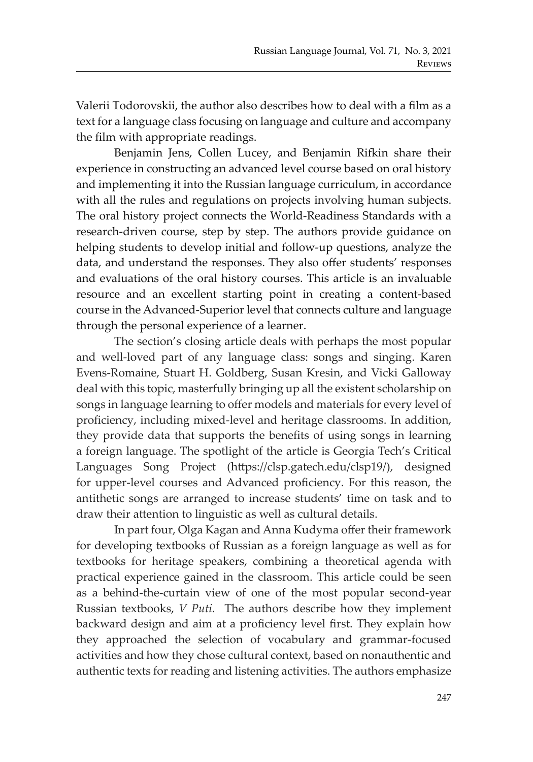Valerii Todorovskii, the author also describes how to deal with a film as a text for a language class focusing on language and culture and accompany the film with appropriate readings.

Benjamin Jens, Collen Lucey, and Benjamin Rifkin share their experience in constructing an advanced level course based on oral history and implementing it into the Russian language curriculum, in accordance with all the rules and regulations on projects involving human subjects. The oral history project connects the World-Readiness Standards with a research-driven course, step by step. The authors provide guidance on helping students to develop initial and follow-up questions, analyze the data, and understand the responses. They also offer students' responses and evaluations of the oral history courses. This article is an invaluable resource and an excellent starting point in creating a content-based course in the Advanced-Superior level that connects culture and language through the personal experience of a learner.

The section's closing article deals with perhaps the most popular and well-loved part of any language class: songs and singing. Karen Evens-Romaine, Stuart H. Goldberg, Susan Kresin, and Vicki Galloway deal with this topic, masterfully bringing up all the existent scholarship on songs in language learning to offer models and materials for every level of proficiency, including mixed-level and heritage classrooms. In addition, they provide data that supports the benefits of using songs in learning a foreign language. The spotlight of the article is Georgia Tech's Critical Languages Song Project (https://clsp.gatech.edu/clsp19/), designed for upper-level courses and Advanced proficiency. For this reason, the antithetic songs are arranged to increase students' time on task and to draw their attention to linguistic as well as cultural details.

In part four, Olga Kagan and Anna Kudyma offer their framework for developing textbooks of Russian as a foreign language as well as for textbooks for heritage speakers, combining a theoretical agenda with practical experience gained in the classroom. This article could be seen as a behind-the-curtain view of one of the most popular second-year Russian textbooks, *V Puti*. The authors describe how they implement backward design and aim at a proficiency level first. They explain how they approached the selection of vocabulary and grammar-focused activities and how they chose cultural context, based on nonauthentic and authentic texts for reading and listening activities. The authors emphasize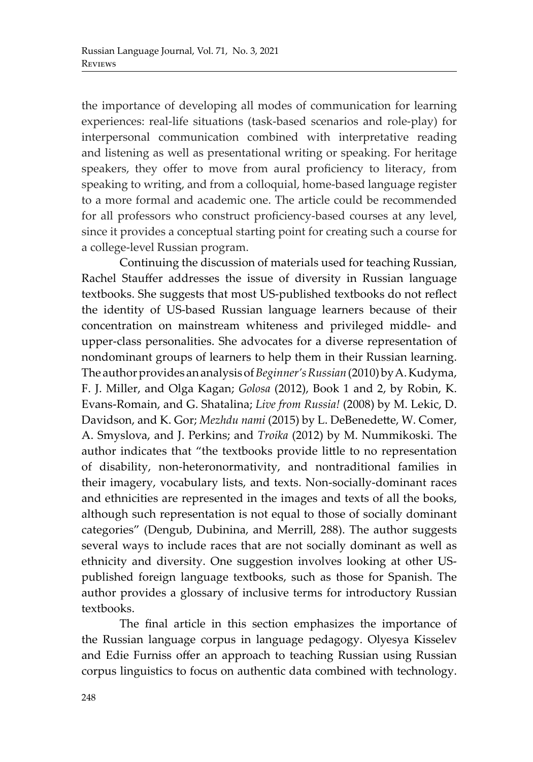the importance of developing all modes of communication for learning experiences: real-life situations (task-based scenarios and role-play) for interpersonal communication combined with interpretative reading and listening as well as presentational writing or speaking. For heritage speakers, they offer to move from aural proficiency to literacy, from speaking to writing, and from a colloquial, home-based language register to a more formal and academic one. The article could be recommended for all professors who construct proficiency-based courses at any level, since it provides a conceptual starting point for creating such a course for a college-level Russian program.

Continuing the discussion of materials used for teaching Russian, Rachel Stauffer addresses the issue of diversity in Russian language textbooks. She suggests that most US-published textbooks do not reflect the identity of US-based Russian language learners because of their concentration on mainstream whiteness and privileged middle- and upper-class personalities. She advocates for a diverse representation of nondominant groups of learners to help them in their Russian learning. The author provides an analysis of *Beginner's Russian* (2010) by A. Kudyma, F. J. Miller, and Olga Kagan; *Golosa* (2012), Book 1 and 2, by Robin, K. Evans-Romain, and G. Shatalina; *Live from Russia!* (2008) by M. Lekic, D. Davidson, and K. Gor; *Mezhdu nami* (2015) by L. DeBenedette, W. Comer, A. Smyslova, and J. Perkins; and *Troika* (2012) by M. Nummikoski. The author indicates that "the textbooks provide little to no representation of disability, non-heteronormativity, and nontraditional families in their imagery, vocabulary lists, and texts. Non-socially-dominant races and ethnicities are represented in the images and texts of all the books, although such representation is not equal to those of socially dominant categories" (Dengub, Dubinina, and Merrill, 288). The author suggests several ways to include races that are not socially dominant as well as ethnicity and diversity. One suggestion involves looking at other USpublished foreign language textbooks, such as those for Spanish. The author provides a glossary of inclusive terms for introductory Russian textbooks.

The final article in this section emphasizes the importance of the Russian language corpus in language pedagogy. Olyesya Kisselev and Edie Furniss offer an approach to teaching Russian using Russian corpus linguistics to focus on authentic data combined with technology.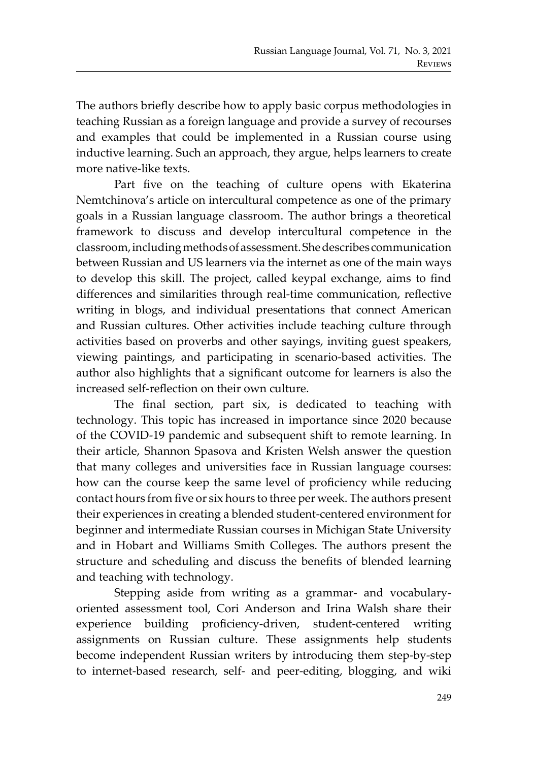The authors briefly describe how to apply basic corpus methodologies in teaching Russian as a foreign language and provide a survey of recourses and examples that could be implemented in a Russian course using inductive learning. Such an approach, they argue, helps learners to create more native-like texts.

Part five on the teaching of culture opens with Ekaterina Nemtchinova's article on intercultural competence as one of the primary goals in a Russian language classroom. The author brings a theoretical framework to discuss and develop intercultural competence in the classroom, including methods of assessment. She describes communication between Russian and US learners via the internet as one of the main ways to develop this skill. The project, called keypal exchange, aims to find differences and similarities through real-time communication, reflective writing in blogs, and individual presentations that connect American and Russian cultures. Other activities include teaching culture through activities based on proverbs and other sayings, inviting guest speakers, viewing paintings, and participating in scenario-based activities. The author also highlights that a significant outcome for learners is also the increased self-reflection on their own culture.

The final section, part six, is dedicated to teaching with technology. This topic has increased in importance since 2020 because of the COVID-19 pandemic and subsequent shift to remote learning. In their article, Shannon Spasova and Kristen Welsh answer the question that many colleges and universities face in Russian language courses: how can the course keep the same level of proficiency while reducing contact hours from five or six hours to three per week. The authors present their experiences in creating a blended student-centered environment for beginner and intermediate Russian courses in Michigan State University and in Hobart and Williams Smith Colleges. The authors present the structure and scheduling and discuss the benefits of blended learning and teaching with technology.

Stepping aside from writing as a grammar- and vocabularyoriented assessment tool, Cori Anderson and Irina Walsh share their experience building proficiency-driven, student-centered writing assignments on Russian culture. These assignments help students become independent Russian writers by introducing them step-by-step to internet-based research, self- and peer-editing, blogging, and wiki